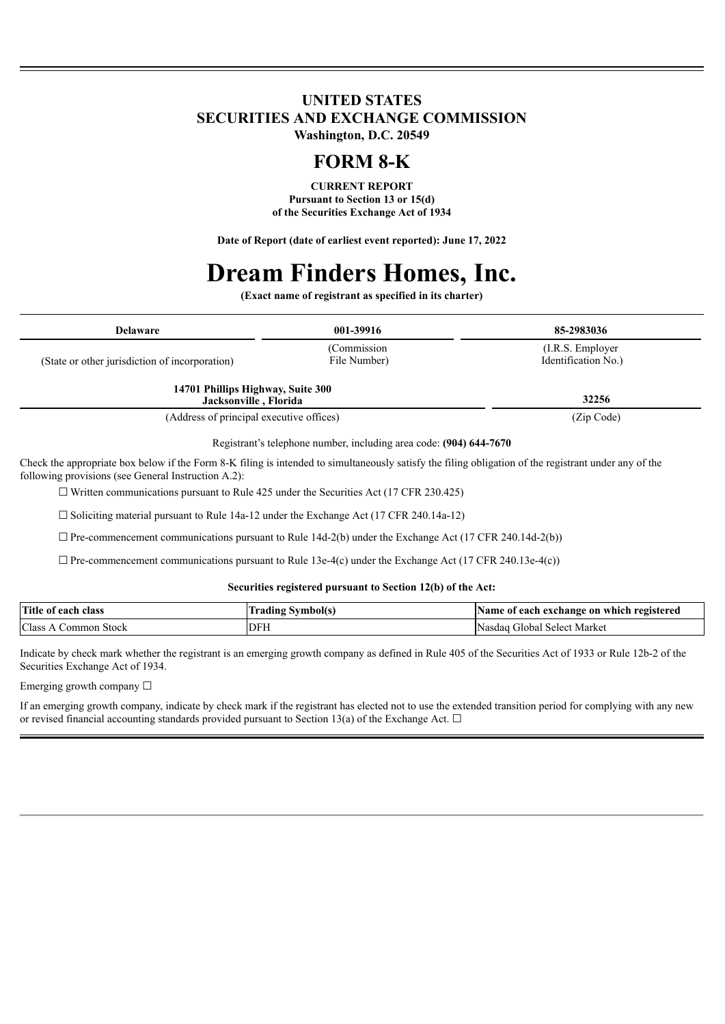#### **UNITED STATES SECURITIES AND EXCHANGE COMMISSION Washington, D.C. 20549**

## **FORM 8-K**

**CURRENT REPORT Pursuant to Section 13 or 15(d) of the Securities Exchange Act of 1934**

**Date of Report (date of earliest event reported): June 17, 2022**

# **Dream Finders Homes, Inc.**

**(Exact name of registrant as specified in its charter)**

| <b>Delaware</b>                                            | 001-39916                    | 85-2983036                              |
|------------------------------------------------------------|------------------------------|-----------------------------------------|
| (State or other jurisdiction of incorporation)             | (Commission)<br>File Number) | (I.R.S. Employer<br>Identification No.) |
| 14701 Phillips Highway, Suite 300<br>Jacksonville, Florida |                              | 32256                                   |
| (Address of principal executive offices)                   |                              | (Zip Code)                              |

Registrant's telephone number, including area code: **(904) 644-7670**

Check the appropriate box below if the Form 8-K filing is intended to simultaneously satisfy the filing obligation of the registrant under any of the following provisions (see General Instruction A.2):

 $\Box$  Written communications pursuant to Rule 425 under the Securities Act (17 CFR 230.425)

 $\Box$  Soliciting material pursuant to Rule 14a-12 under the Exchange Act (17 CFR 240.14a-12)

 $\Box$  Pre-commencement communications pursuant to Rule 14d-2(b) under the Exchange Act (17 CFR 240.14d-2(b))

 $\Box$  Pre-commencement communications pursuant to Rule 13e-4(c) under the Exchange Act (17 CFR 240.13e-4(c))

#### **Securities registered pursuant to Section 12(b) of the Act:**

| <b>Title</b><br>each class<br>- OI | vmbol(s | Name of<br>registered *<br>t each exchange on which |
|------------------------------------|---------|-----------------------------------------------------|
| Class<br>Stock<br>Common           | DFI     | Nasdag<br>Select Market<br>. ilobal                 |

Indicate by check mark whether the registrant is an emerging growth company as defined in Rule 405 of the Securities Act of 1933 or Rule 12b-2 of the Securities Exchange Act of 1934.

Emerging growth company  $\Box$ 

If an emerging growth company, indicate by check mark if the registrant has elected not to use the extended transition period for complying with any new or revised financial accounting standards provided pursuant to Section 13(a) of the Exchange Act.  $\Box$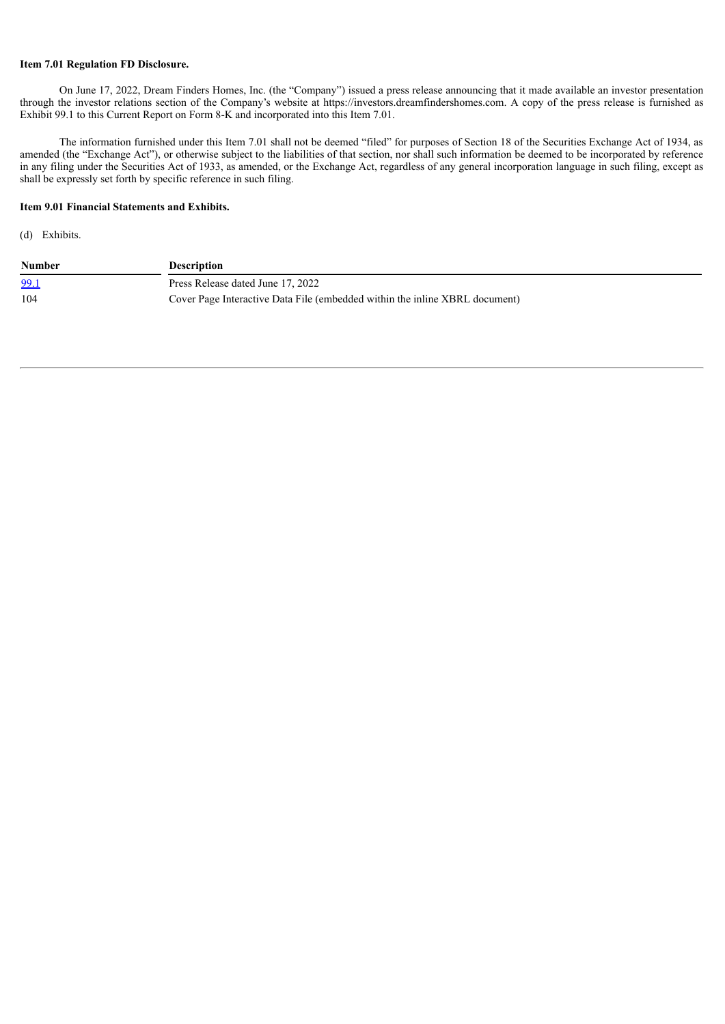#### **Item 7.01 Regulation FD Disclosure.**

On June 17, 2022, Dream Finders Homes, Inc. (the "Company") issued a press release announcing that it made available an investor presentation through the investor relations section of the Company's website at https://investors.dreamfindershomes.com. A copy of the press release is furnished as Exhibit 99.1 to this Current Report on Form 8-K and incorporated into this Item 7.01.

The information furnished under this Item 7.01 shall not be deemed "filed" for purposes of Section 18 of the Securities Exchange Act of 1934, as amended (the "Exchange Act"), or otherwise subject to the liabilities of that section, nor shall such information be deemed to be incorporated by reference in any filing under the Securities Act of 1933, as amended, or the Exchange Act, regardless of any general incorporation language in such filing, except as shall be expressly set forth by specific reference in such filing.

#### **Item 9.01 Financial Statements and Exhibits.**

(d) Exhibits.

| <b>Number</b> | <b>Description</b>                                                          |
|---------------|-----------------------------------------------------------------------------|
| 99.1          | Press Release dated June 17, 2022                                           |
| 104           | Cover Page Interactive Data File (embedded within the inline XBRL document) |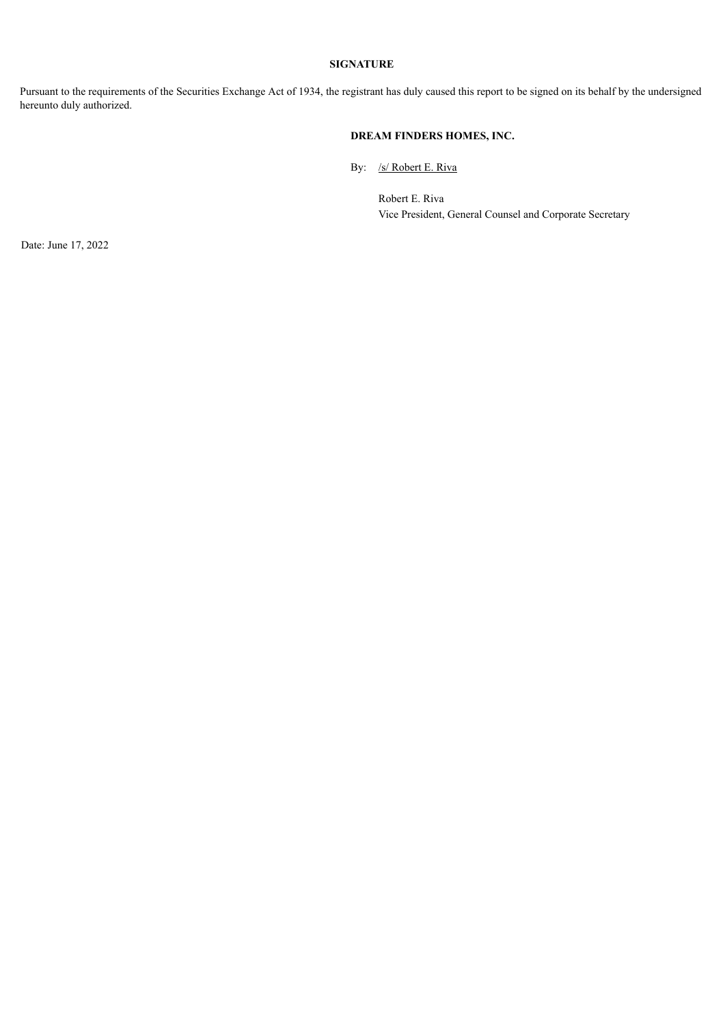#### **SIGNATURE**

Pursuant to the requirements of the Securities Exchange Act of 1934, the registrant has duly caused this report to be signed on its behalf by the undersigned hereunto duly authorized.

#### **DREAM FINDERS HOMES, INC.**

By: /s/ Robert E. Riva

Robert E. Riva Vice President, General Counsel and Corporate Secretary

Date: June 17, 2022